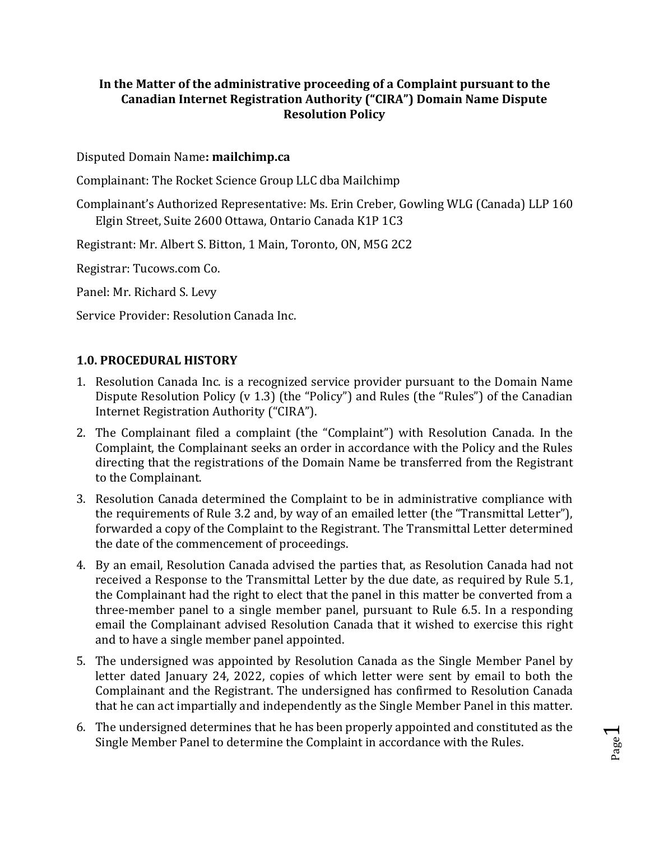### **In the Matter of the administrative proceeding of a Complaint pursuant to the Canadian Internet Registration Authority ("CIRA") Domain Name Dispute Resolution Policy**

#### Disputed Domain Name**: mailchimp.ca**

- Complainant: The Rocket Science Group LLC dba Mailchimp
- Complainant's Authorized Representative: Ms. Erin Creber, Gowling WLG (Canada) LLP 160 Elgin Street, Suite 2600 Ottawa, Ontario Canada K1P 1C3

Registrant: Mr. Albert S. Bitton, 1 Main, Toronto, ON, M5G 2C2

Registrar: Tucows.com Co.

Panel: Mr. Richard S. Levy

Service Provider: Resolution Canada Inc.

#### **1.0. PROCEDURAL HISTORY**

- 1. Resolution Canada Inc. is a recognized service provider pursuant to the Domain Name Dispute Resolution Policy (v 1.3) (the "Policy") and Rules (the "Rules") of the Canadian Internet Registration Authority ("CIRA").
- 2. The Complainant filed a complaint (the "Complaint") with Resolution Canada. In the Complaint, the Complainant seeks an order in accordance with the Policy and the Rules directing that the registrations of the Domain Name be transferred from the Registrant to the Complainant.
- 3. Resolution Canada determined the Complaint to be in administrative compliance with the requirements of Rule 3.2 and, by way of an emailed letter (the "Transmittal Letter"), forwarded a copy of the Complaint to the Registrant. The Transmittal Letter determined the date of the commencement of proceedings.
- 4. By an email, Resolution Canada advised the parties that, as Resolution Canada had not received a Response to the Transmittal Letter by the due date, as required by Rule 5.1, the Complainant had the right to elect that the panel in this matter be converted from a three-member panel to a single member panel, pursuant to Rule 6.5. In a responding email the Complainant advised Resolution Canada that it wished to exercise this right and to have a single member panel appointed.
- 5. The undersigned was appointed by Resolution Canada as the Single Member Panel by letter dated January 24, 2022, copies of which letter were sent by email to both the Complainant and the Registrant. The undersigned has confirmed to Resolution Canada that he can act impartially and independently as the Single Member Panel in this matter.
- 6. The undersigned determines that he has been properly appointed and constituted as the Single Member Panel to determine the Complaint in accordance with the Rules.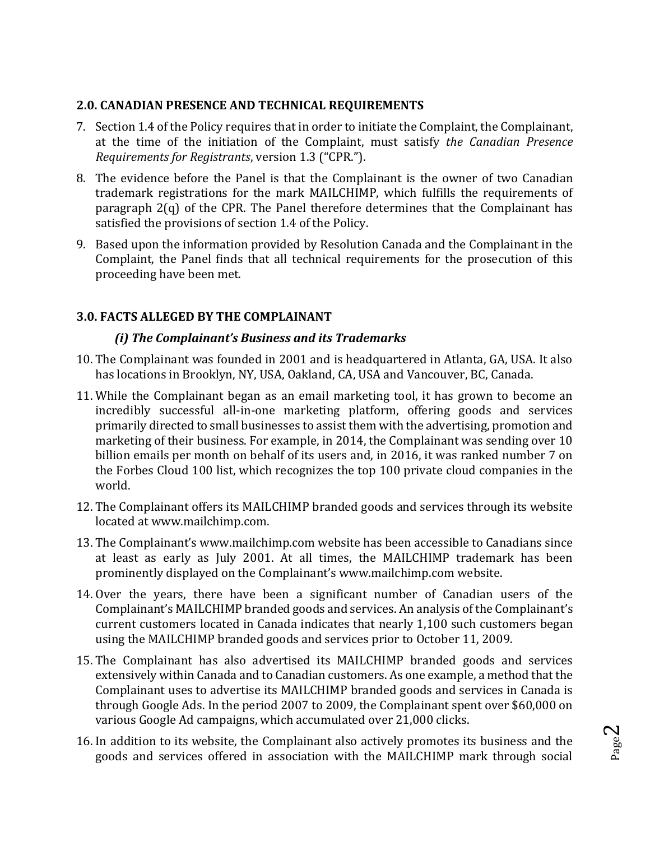#### **2.0. CANADIAN PRESENCE AND TECHNICAL REQUIREMENTS**

- 7. Section 1.4 of the Policy requires that in order to initiate the Complaint, the Complainant, at the time of the initiation of the Complaint, must satisfy *the Canadian Presence Requirements for Registrants*, version 1.3 ("CPR.").
- 8. The evidence before the Panel is that the Complainant is the owner of two Canadian trademark registrations for the mark MAILCHIMP, which fulfills the requirements of paragraph 2(q) of the CPR. The Panel therefore determines that the Complainant has satisfied the provisions of section 1.4 of the Policy.
- 9. Based upon the information provided by Resolution Canada and the Complainant in the Complaint, the Panel finds that all technical requirements for the prosecution of this proceeding have been met.

# **3.0. FACTS ALLEGED BY THE COMPLAINANT**

# *(i) The Complainant's Business and its Trademarks*

- 10. The Complainant was founded in 2001 and is headquartered in Atlanta, GA, USA. It also has locations in Brooklyn, NY, USA, Oakland, CA, USA and Vancouver, BC, Canada.
- 11. While the Complainant began as an email marketing tool, it has grown to become an incredibly successful all-in-one marketing platform, offering goods and services primarily directed to small businesses to assist them with the advertising, promotion and marketing of their business. For example, in 2014, the Complainant was sending over 10 billion emails per month on behalf of its users and, in 2016, it was ranked number 7 on the Forbes Cloud 100 list, which recognizes the top 100 private cloud companies in the world.
- 12. The Complainant offers its MAILCHIMP branded goods and services through its website located at www.mailchimp.com.
- 13. The Complainant's www.mailchimp.com website has been accessible to Canadians since at least as early as July 2001. At all times, the MAILCHIMP trademark has been prominently displayed on the Complainant's www.mailchimp.com website.
- 14. Over the years, there have been a significant number of Canadian users of the Complainant's MAILCHIMP branded goods and services. An analysis of the Complainant's current customers located in Canada indicates that nearly 1,100 such customers began using the MAILCHIMP branded goods and services prior to October 11, 2009.
- 15. The Complainant has also advertised its MAILCHIMP branded goods and services extensively within Canada and to Canadian customers. As one example, a method that the Complainant uses to advertise its MAILCHIMP branded goods and services in Canada is through Google Ads. In the period 2007 to 2009, the Complainant spent over \$60,000 on various Google Ad campaigns, which accumulated over 21,000 clicks.
- 16. In addition to its website, the Complainant also actively promotes its business and the goods and services offered in association with the MAILCHIMP mark through social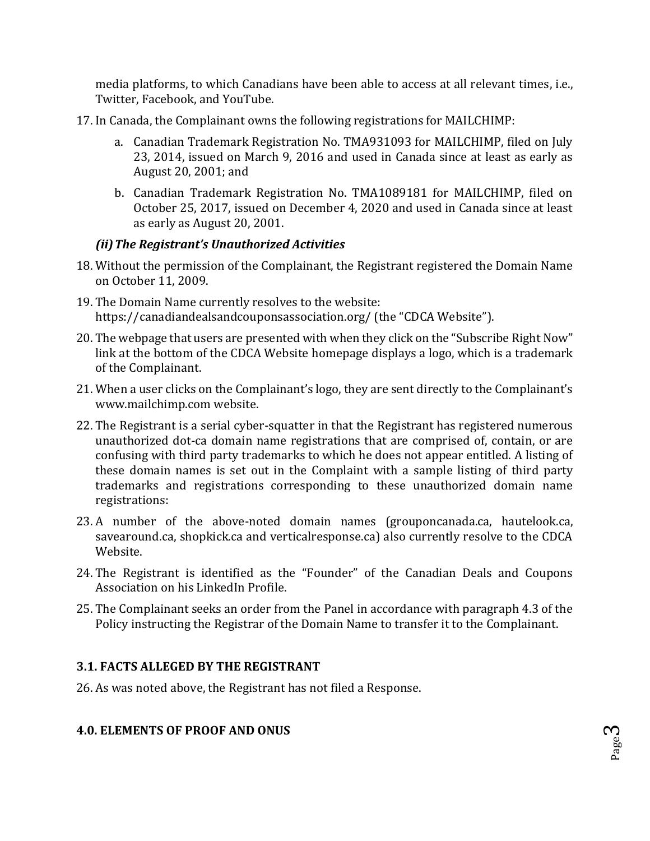media platforms, to which Canadians have been able to access at all relevant times, i.e., Twitter, Facebook, and YouTube.

- 17. In Canada, the Complainant owns the following registrations for MAILCHIMP:
	- a. Canadian Trademark Registration No. TMA931093 for MAILCHIMP, filed on July 23, 2014, issued on March 9, 2016 and used in Canada since at least as early as August 20, 2001; and
	- b. Canadian Trademark Registration No. TMA1089181 for MAILCHIMP, filed on October 25, 2017, issued on December 4, 2020 and used in Canada since at least as early as August 20, 2001.

# *(ii)The Registrant's Unauthorized Activities*

- 18. Without the permission of the Complainant, the Registrant registered the Domain Name on October 11, 2009.
- 19. The Domain Name currently resolves to the website: https://canadiandealsandcouponsassociation.org/ (the "CDCA Website").
- 20. The webpage that users are presented with when they click on the "Subscribe Right Now" link at the bottom of the CDCA Website homepage displays a logo, which is a trademark of the Complainant.
- 21. When a user clicks on the Complainant's logo, they are sent directly to the Complainant's www.mailchimp.com website.
- 22. The Registrant is a serial cyber-squatter in that the Registrant has registered numerous unauthorized dot-ca domain name registrations that are comprised of, contain, or are confusing with third party trademarks to which he does not appear entitled. A listing of these domain names is set out in the Complaint with a sample listing of third party trademarks and registrations corresponding to these unauthorized domain name registrations:
- 23. A number of the above-noted domain names (grouponcanada.ca, hautelook.ca, savearound.ca, shopkick.ca and verticalresponse.ca) also currently resolve to the CDCA Website.
- 24. The Registrant is identified as the "Founder" of the Canadian Deals and Coupons Association on his LinkedIn Profile.
- 25. The Complainant seeks an order from the Panel in accordance with paragraph 4.3 of the Policy instructing the Registrar of the Domain Name to transfer it to the Complainant.

# **3.1. FACTS ALLEGED BY THE REGISTRANT**

26. As was noted above, the Registrant has not filed a Response.

# **4.0. ELEMENTS OF PROOF AND ONUS**

Page ო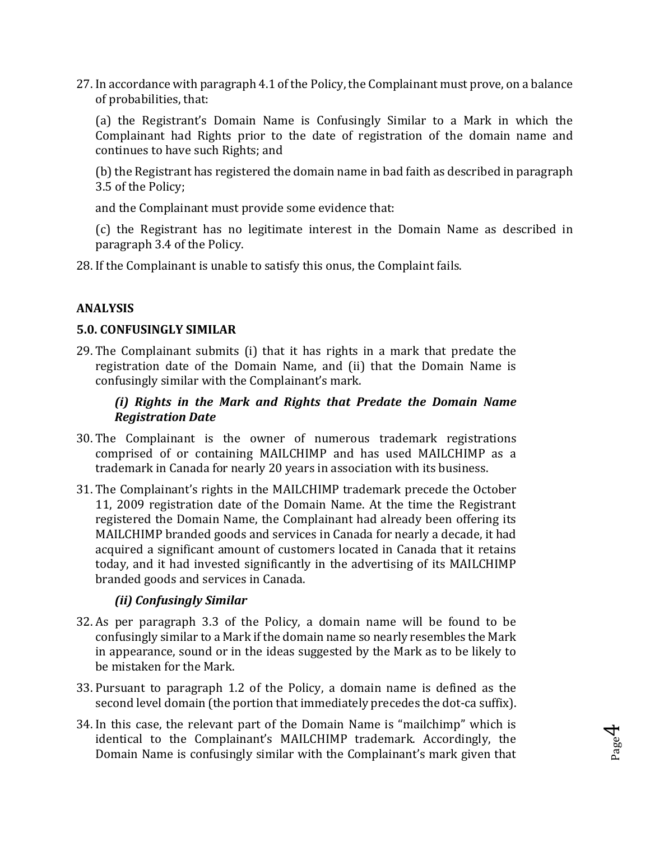27. In accordance with paragraph 4.1 of the Policy, the Complainant must prove, on a balance of probabilities, that:

(a) the Registrant's Domain Name is Confusingly Similar to a Mark in which the Complainant had Rights prior to the date of registration of the domain name and continues to have such Rights; and

(b) the Registrant has registered the domain name in bad faith as described in paragraph 3.5 of the Policy;

and the Complainant must provide some evidence that:

(c) the Registrant has no legitimate interest in the Domain Name as described in paragraph 3.4 of the Policy.

28. If the Complainant is unable to satisfy this onus, the Complaint fails.

# **ANALYSIS**

#### **5.0. CONFUSINGLY SIMILAR**

29. The Complainant submits (i) that it has rights in a mark that predate the registration date of the Domain Name, and (ii) that the Domain Name is confusingly similar with the Complainant's mark.

#### *(i) Rights in the Mark and Rights that Predate the Domain Name Registration Date*

- 30. The Complainant is the owner of numerous trademark registrations comprised of or containing MAILCHIMP and has used MAILCHIMP as a trademark in Canada for nearly 20 years in association with its business.
- 31. The Complainant's rights in the MAILCHIMP trademark precede the October 11, 2009 registration date of the Domain Name. At the time the Registrant registered the Domain Name, the Complainant had already been offering its MAILCHIMP branded goods and services in Canada for nearly a decade, it had acquired a significant amount of customers located in Canada that it retains today, and it had invested significantly in the advertising of its MAILCHIMP branded goods and services in Canada.

# *(ii) Confusingly Similar*

- 32. As per paragraph 3.3 of the Policy, a domain name will be found to be confusingly similar to a Mark if the domain name so nearly resembles the Mark in appearance, sound or in the ideas suggested by the Mark as to be likely to be mistaken for the Mark.
- 33. Pursuant to paragraph 1.2 of the Policy, a domain name is defined as the second level domain (the portion that immediately precedes the dot-ca suffix).
- 34. In this case, the relevant part of the Domain Name is "mailchimp" which is identical to the Complainant's MAILCHIMP trademark. Accordingly, the Domain Name is confusingly similar with the Complainant's mark given that

Page  $\mathcal{A}$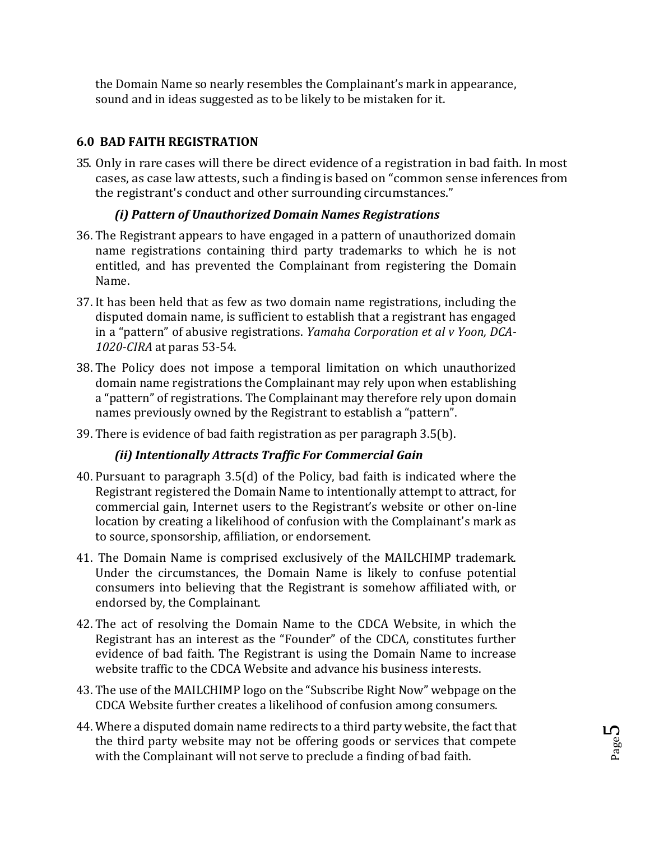the Domain Name so nearly resembles the Complainant's mark in appearance, sound and in ideas suggested as to be likely to be mistaken for it.

# **6.0 BAD FAITH REGISTRATION**

35. Only in rare cases will there be direct evidence of a registration in bad faith. In most cases, as case law attests, such a finding is based on "common sense inferences from the registrant's conduct and other surrounding circumstances."

# *(i) Pattern of Unauthorized Domain Names Registrations*

- 36. The Registrant appears to have engaged in a pattern of unauthorized domain name registrations containing third party trademarks to which he is not entitled, and has prevented the Complainant from registering the Domain Name.
- 37. It has been held that as few as two domain name registrations, including the disputed domain name, is sufficient to establish that a registrant has engaged in a "pattern" of abusive registrations. *Yamaha Corporation et al v Yoon, DCA-1020-CIRA* at paras 53-54.
- 38. The Policy does not impose a temporal limitation on which unauthorized domain name registrations the Complainant may rely upon when establishing a "pattern" of registrations. The Complainant may therefore rely upon domain names previously owned by the Registrant to establish a "pattern".
- 39. There is evidence of bad faith registration as per paragraph 3.5(b).

# *(ii) Intentionally Attracts Traffic For Commercial Gain*

- 40. Pursuant to paragraph 3.5(d) of the Policy, bad faith is indicated where the Registrant registered the Domain Name to intentionally attempt to attract, for commercial gain, Internet users to the Registrant's website or other on-line location by creating a likelihood of confusion with the Complainant's mark as to source, sponsorship, affiliation, or endorsement.
- 41. The Domain Name is comprised exclusively of the MAILCHIMP trademark. Under the circumstances, the Domain Name is likely to confuse potential consumers into believing that the Registrant is somehow affiliated with, or endorsed by, the Complainant.
- 42. The act of resolving the Domain Name to the CDCA Website, in which the Registrant has an interest as the "Founder" of the CDCA, constitutes further evidence of bad faith. The Registrant is using the Domain Name to increase website traffic to the CDCA Website and advance his business interests.
- 43. The use of the MAILCHIMP logo on the "Subscribe Right Now" webpage on the CDCA Website further creates a likelihood of confusion among consumers.
- 44. Where a disputed domain name redirects to a third party website, the fact that the third party website may not be offering goods or services that compete with the Complainant will not serve to preclude a finding of bad faith.